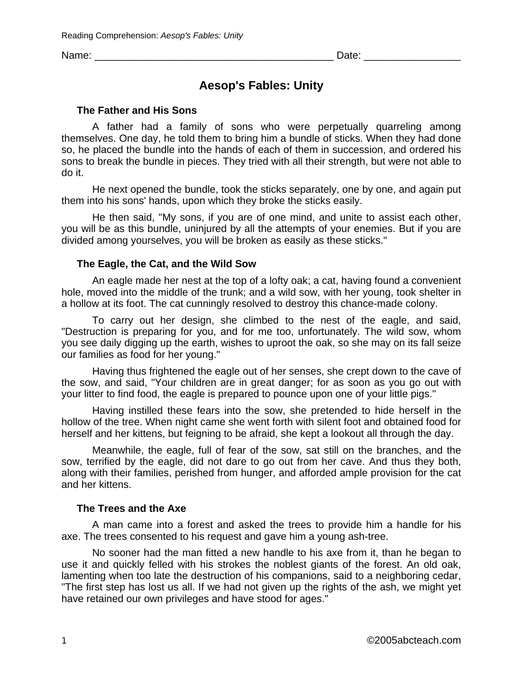Name: \_\_\_\_\_\_\_\_\_\_\_\_\_\_\_\_\_\_\_\_\_\_\_\_\_\_\_\_\_\_\_\_\_\_\_\_\_\_\_\_\_\_ Date: \_\_\_\_\_\_\_\_\_\_\_\_\_\_\_\_\_

# **Aesop's Fables: Unity**

### **The Father and His Sons**

A father had a family of sons who were perpetually quarreling among themselves. One day, he told them to bring him a bundle of sticks. When they had done so, he placed the bundle into the hands of each of them in succession, and ordered his sons to break the bundle in pieces. They tried with all their strength, but were not able to do it.

He next opened the bundle, took the sticks separately, one by one, and again put them into his sons' hands, upon which they broke the sticks easily.

He then said, "My sons, if you are of one mind, and unite to assist each other, you will be as this bundle, uninjured by all the attempts of your enemies. But if you are divided among yourselves, you will be broken as easily as these sticks."

### **The Eagle, the Cat, and the Wild Sow**

An eagle made her nest at the top of a lofty oak; a cat, having found a convenient hole, moved into the middle of the trunk; and a wild sow, with her young, took shelter in a hollow at its foot. The cat cunningly resolved to destroy this chance-made colony.

To carry out her design, she climbed to the nest of the eagle, and said, "Destruction is preparing for you, and for me too, unfortunately. The wild sow, whom you see daily digging up the earth, wishes to uproot the oak, so she may on its fall seize our families as food for her young."

Having thus frightened the eagle out of her senses, she crept down to the cave of the sow, and said, "Your children are in great danger; for as soon as you go out with your litter to find food, the eagle is prepared to pounce upon one of your little pigs."

Having instilled these fears into the sow, she pretended to hide herself in the hollow of the tree. When night came she went forth with silent foot and obtained food for herself and her kittens, but feigning to be afraid, she kept a lookout all through the day.

Meanwhile, the eagle, full of fear of the sow, sat still on the branches, and the sow, terrified by the eagle, did not dare to go out from her cave. And thus they both, along with their families, perished from hunger, and afforded ample provision for the cat and her kittens.

# **The Trees and the Axe**

A man came into a forest and asked the trees to provide him a handle for his axe. The trees consented to his request and gave him a young ash-tree.

No sooner had the man fitted a new handle to his axe from it, than he began to use it and quickly felled with his strokes the noblest giants of the forest. An old oak, lamenting when too late the destruction of his companions, said to a neighboring cedar, "The first step has lost us all. If we had not given up the rights of the ash, we might yet have retained our own privileges and have stood for ages."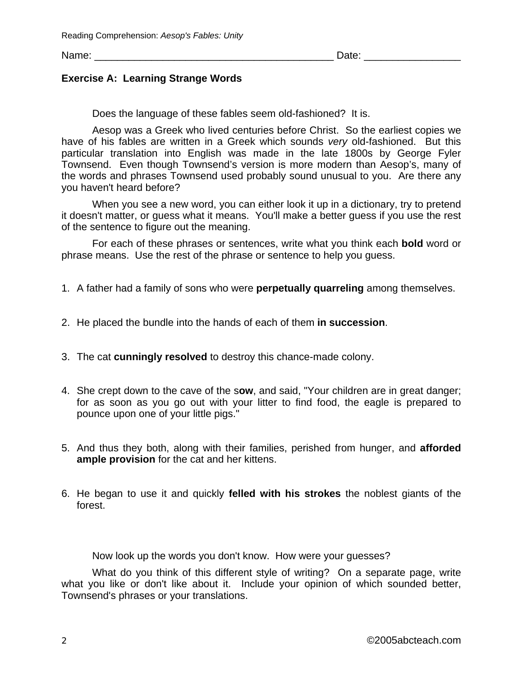Name: \_\_\_\_\_\_\_\_\_\_\_\_\_\_\_\_\_\_\_\_\_\_\_\_\_\_\_\_\_\_\_\_\_\_\_\_\_\_\_\_\_\_ Date: \_\_\_\_\_\_\_\_\_\_\_\_\_\_\_\_\_

### **Exercise A: Learning Strange Words**

Does the language of these fables seem old-fashioned? It is.

Aesop was a Greek who lived centuries before Christ. So the earliest copies we have of his fables are written in a Greek which sounds *very* old-fashioned. But this particular translation into English was made in the late 1800s by George Fyler Townsend. Even though Townsend's version is more modern than Aesop's, many of the words and phrases Townsend used probably sound unusual to you. Are there any you haven't heard before?

When you see a new word, you can either look it up in a dictionary, try to pretend it doesn't matter, or guess what it means. You'll make a better guess if you use the rest of the sentence to figure out the meaning.

For each of these phrases or sentences, write what you think each **bold** word or phrase means. Use the rest of the phrase or sentence to help you guess.

- 1. A father had a family of sons who were **perpetually quarreling** among themselves.
- 2. He placed the bundle into the hands of each of them **in succession**.
- 3. The cat **cunningly resolved** to destroy this chance-made colony.
- 4. She crept down to the cave of the s**ow**, and said, "Your children are in great danger; for as soon as you go out with your litter to find food, the eagle is prepared to pounce upon one of your little pigs."
- 5. And thus they both, along with their families, perished from hunger, and **afforded ample provision** for the cat and her kittens.
- 6. He began to use it and quickly **felled with his strokes** the noblest giants of the forest.

Now look up the words you don't know. How were your guesses?

What do you think of this different style of writing? On a separate page, write what you like or don't like about it. Include your opinion of which sounded better, Townsend's phrases or your translations.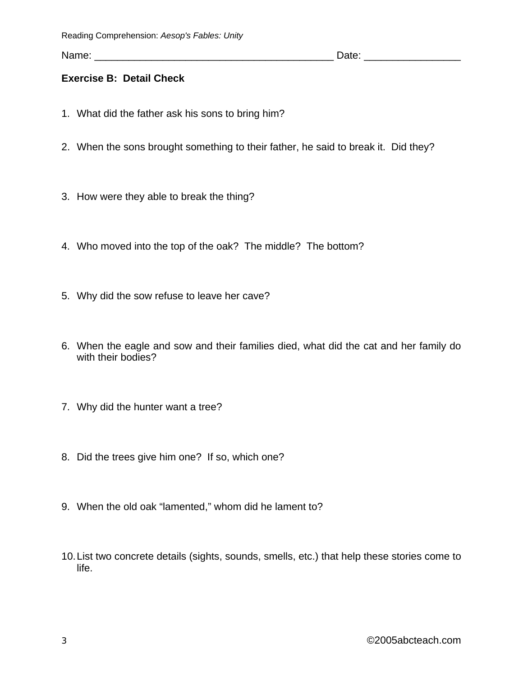Name: \_\_\_\_\_\_\_\_\_\_\_\_\_\_\_\_\_\_\_\_\_\_\_\_\_\_\_\_\_\_\_\_\_\_\_\_\_\_\_\_\_\_ Date: \_\_\_\_\_\_\_\_\_\_\_\_\_\_\_\_\_

# **Exercise B: Detail Check**

- 1. What did the father ask his sons to bring him?
- 2. When the sons brought something to their father, he said to break it. Did they?
- 3. How were they able to break the thing?
- 4. Who moved into the top of the oak? The middle? The bottom?
- 5. Why did the sow refuse to leave her cave?
- 6. When the eagle and sow and their families died, what did the cat and her family do with their bodies?
- 7. Why did the hunter want a tree?
- 8. Did the trees give him one? If so, which one?
- 9. When the old oak "lamented," whom did he lament to?
- 10. List two concrete details (sights, sounds, smells, etc.) that help these stories come to life.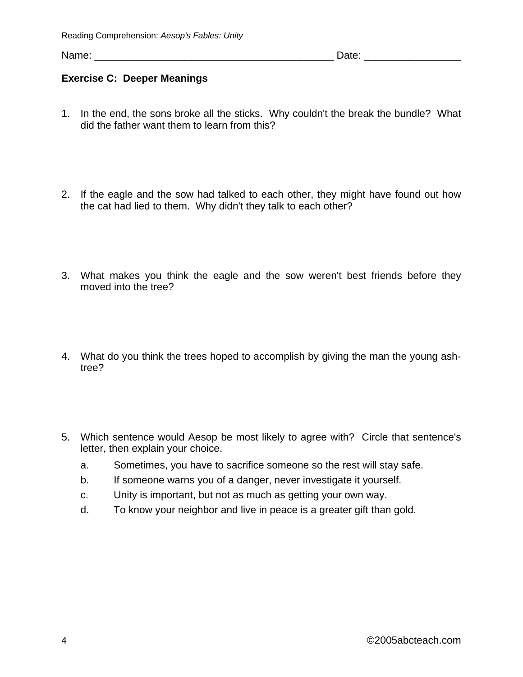Name: \_\_\_\_\_\_\_\_\_\_\_\_\_\_\_\_\_\_\_\_\_\_\_\_\_\_\_\_\_\_\_\_\_\_\_\_\_\_\_\_\_\_ Date: \_\_\_\_\_\_\_\_\_\_\_\_\_\_\_\_\_

# **Exercise C: Deeper Meanings**

- 1. In the end, the sons broke all the sticks. Why couldn't the break the bundle? What did the father want them to learn from this?
- 2. If the eagle and the sow had talked to each other, they might have found out how the cat had lied to them. Why didn't they talk to each other?
- 3. What makes you think the eagle and the sow weren't best friends before they moved into the tree?
- 4. What do you think the trees hoped to accomplish by giving the man the young ashtree?
- 5. Which sentence would Aesop be most likely to agree with? Circle that sentence's letter, then explain your choice.
	- a. Sometimes, you have to sacrifice someone so the rest will stay safe.
	- b. If someone warns you of a danger, never investigate it yourself.
	- c. Unity is important, but not as much as getting your own way.
	- d. To know your neighbor and live in peace is a greater gift than gold.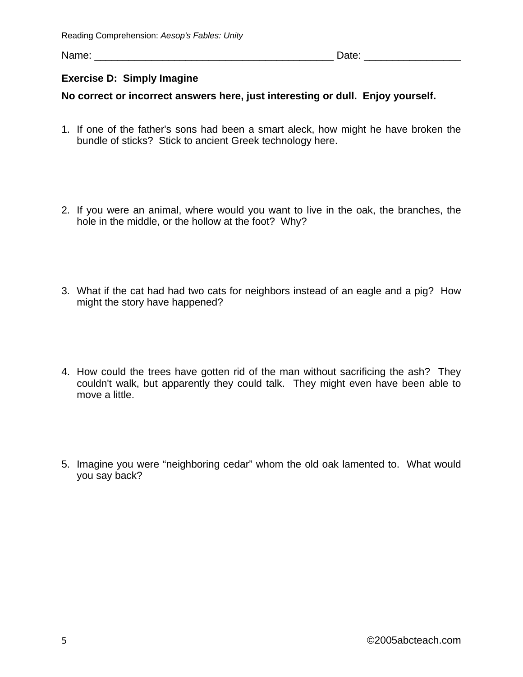Name: \_\_\_\_\_\_\_\_\_\_\_\_\_\_\_\_\_\_\_\_\_\_\_\_\_\_\_\_\_\_\_\_\_\_\_\_\_\_\_\_\_\_ Date: \_\_\_\_\_\_\_\_\_\_\_\_\_\_\_\_\_

# **Exercise D: Simply Imagine**

# **No correct or incorrect answers here, just interesting or dull. Enjoy yourself.**

- 1. If one of the father's sons had been a smart aleck, how might he have broken the bundle of sticks? Stick to ancient Greek technology here.
- 2. If you were an animal, where would you want to live in the oak, the branches, the hole in the middle, or the hollow at the foot? Why?
- 3. What if the cat had had two cats for neighbors instead of an eagle and a pig? How might the story have happened?
- 4. How could the trees have gotten rid of the man without sacrificing the ash? They couldn't walk, but apparently they could talk. They might even have been able to move a little.
- 5. Imagine you were "neighboring cedar" whom the old oak lamented to. What would you say back?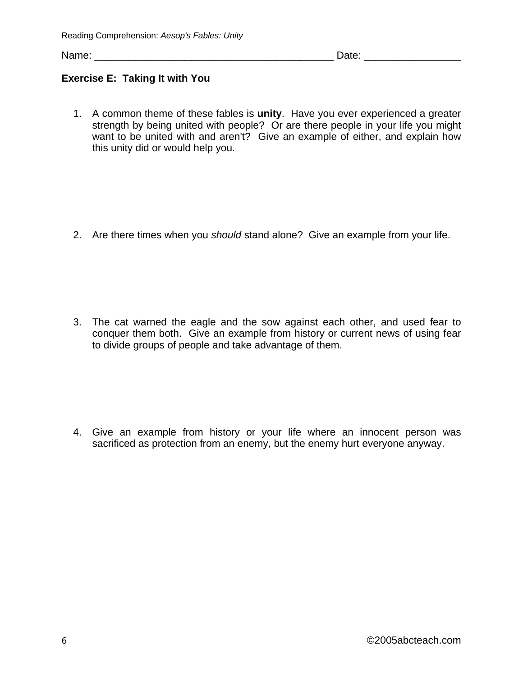Name: \_\_\_\_\_\_\_\_\_\_\_\_\_\_\_\_\_\_\_\_\_\_\_\_\_\_\_\_\_\_\_\_\_\_\_\_\_\_\_\_\_\_ Date: \_\_\_\_\_\_\_\_\_\_\_\_\_\_\_\_\_

# **Exercise E: Taking It with You**

1. A common theme of these fables is **unity**.Have you ever experienced a greater strength by being united with people? Or are there people in your life you might want to be united with and aren't? Give an example of either, and explain how this unity did or would help you.

2. Are there times when you *should* stand alone? Give an example from your life.

3. The cat warned the eagle and the sow against each other, and used fear to conquer them both. Give an example from history or current news of using fear to divide groups of people and take advantage of them.

4. Give an example from history or your life where an innocent person was sacrificed as protection from an enemy, but the enemy hurt everyone anyway.